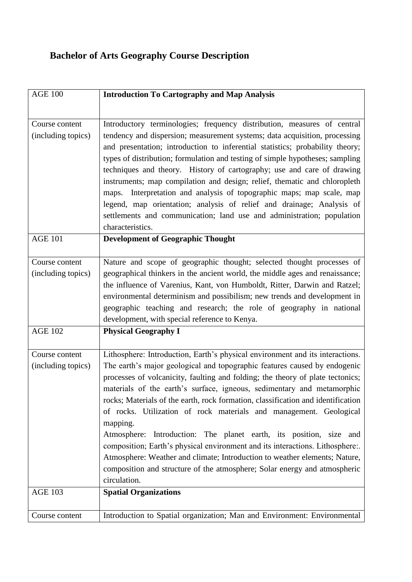## **Bachelor of Arts Geography Course Description**

| <b>AGE 100</b>                       | <b>Introduction To Cartography and Map Analysis</b>                                                                                                                                                                                                                                                                                                                                                                                                                                                                                                                                                                                                                                                                                                                                                                           |
|--------------------------------------|-------------------------------------------------------------------------------------------------------------------------------------------------------------------------------------------------------------------------------------------------------------------------------------------------------------------------------------------------------------------------------------------------------------------------------------------------------------------------------------------------------------------------------------------------------------------------------------------------------------------------------------------------------------------------------------------------------------------------------------------------------------------------------------------------------------------------------|
|                                      |                                                                                                                                                                                                                                                                                                                                                                                                                                                                                                                                                                                                                                                                                                                                                                                                                               |
| Course content<br>(including topics) | Introductory terminologies; frequency distribution, measures of central<br>tendency and dispersion; measurement systems; data acquisition, processing<br>and presentation; introduction to inferential statistics; probability theory;<br>types of distribution; formulation and testing of simple hypotheses; sampling<br>techniques and theory. History of cartography; use and care of drawing<br>instruments; map compilation and design; relief, thematic and chloropleth<br>maps. Interpretation and analysis of topographic maps; map scale, map<br>legend, map orientation; analysis of relief and drainage; Analysis of<br>settlements and communication; land use and administration; population<br>characteristics.                                                                                                |
| <b>AGE 101</b>                       | <b>Development of Geographic Thought</b>                                                                                                                                                                                                                                                                                                                                                                                                                                                                                                                                                                                                                                                                                                                                                                                      |
| Course content<br>(including topics) | Nature and scope of geographic thought; selected thought processes of<br>geographical thinkers in the ancient world, the middle ages and renaissance;<br>the influence of Varenius, Kant, von Humboldt, Ritter, Darwin and Ratzel;<br>environmental determinism and possibilism; new trends and development in<br>geographic teaching and research; the role of geography in national<br>development, with special reference to Kenya.                                                                                                                                                                                                                                                                                                                                                                                        |
| <b>AGE 102</b>                       | <b>Physical Geography I</b>                                                                                                                                                                                                                                                                                                                                                                                                                                                                                                                                                                                                                                                                                                                                                                                                   |
| Course content<br>(including topics) | Lithosphere: Introduction, Earth's physical environment and its interactions.<br>The earth's major geological and topographic features caused by endogenic<br>processes of volcanicity, faulting and folding; the theory of plate tectonics;<br>materials of the earth's surface, igneous, sedimentary and metamorphic<br>rocks; Materials of the earth, rock formation, classification and identification<br>of rocks. Utilization of rock materials and management. Geological<br>mapping.<br>Atmosphere: Introduction: The planet earth, its position, size and<br>composition; Earth's physical environment and its interactions. Lithosphere:<br>Atmosphere: Weather and climate; Introduction to weather elements; Nature,<br>composition and structure of the atmosphere; Solar energy and atmospheric<br>circulation. |
| <b>AGE 103</b>                       | <b>Spatial Organizations</b>                                                                                                                                                                                                                                                                                                                                                                                                                                                                                                                                                                                                                                                                                                                                                                                                  |
| Course content                       | Introduction to Spatial organization; Man and Environment: Environmental                                                                                                                                                                                                                                                                                                                                                                                                                                                                                                                                                                                                                                                                                                                                                      |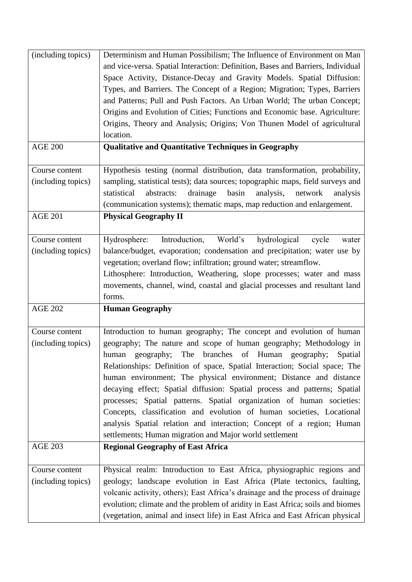| (including topics) | Determinism and Human Possibilism; The Influence of Environment on Man<br>and vice-versa. Spatial Interaction: Definition, Bases and Barriers, Individual |
|--------------------|-----------------------------------------------------------------------------------------------------------------------------------------------------------|
|                    | Space Activity, Distance-Decay and Gravity Models. Spatial Diffusion:                                                                                     |
|                    | Types, and Barriers. The Concept of a Region; Migration; Types, Barriers                                                                                  |
|                    | and Patterns; Pull and Push Factors. An Urban World; The urban Concept;                                                                                   |
|                    | Origins and Evolution of Cities; Functions and Economic base. Agriculture:                                                                                |
|                    | Origins, Theory and Analysis; Origins; Von Thunen Model of agricultural                                                                                   |
|                    | location.                                                                                                                                                 |
| <b>AGE 200</b>     | <b>Qualitative and Quantitative Techniques in Geography</b>                                                                                               |
|                    |                                                                                                                                                           |
| Course content     | Hypothesis testing (normal distribution, data transformation, probability,                                                                                |
| (including topics) | sampling, statistical tests); data sources; topographic maps, field surveys and                                                                           |
|                    | statistical<br>drainage<br>basin<br>analysis,<br>abstracts:<br>network<br>analysis                                                                        |
|                    | (communication systems); thematic maps, map reduction and enlargement.                                                                                    |
| <b>AGE 201</b>     | <b>Physical Geography II</b>                                                                                                                              |
| Course content     | World's<br>hydrological<br>Introduction,<br>Hydrosphere:<br>cycle<br>water                                                                                |
| (including topics) | balance/budget, evaporation; condensation and precipitation; water use by                                                                                 |
|                    | vegetation; overland flow; infiltration; ground water; streamflow.                                                                                        |
|                    | Lithosphere: Introduction, Weathering, slope processes; water and mass                                                                                    |
|                    | movements, channel, wind, coastal and glacial processes and resultant land                                                                                |
|                    |                                                                                                                                                           |
|                    | forms.                                                                                                                                                    |
| <b>AGE 202</b>     | <b>Human Geography</b>                                                                                                                                    |
|                    |                                                                                                                                                           |
| Course content     | Introduction to human geography; The concept and evolution of human                                                                                       |
| (including topics) | geography; The nature and scope of human geography; Methodology in<br>human                                                                               |
|                    | geography; The branches of Human geography;<br>Spatial                                                                                                    |
|                    | Relationships: Definition of space, Spatial Interaction; Social space; The                                                                                |
|                    | human environment; The physical environment; Distance and distance                                                                                        |
|                    | decaying effect; Spatial diffusion: Spatial process and patterns; Spatial                                                                                 |
|                    | processes; Spatial patterns. Spatial organization of human societies:                                                                                     |
|                    | Concepts, classification and evolution of human societies, Locational                                                                                     |
|                    | analysis Spatial relation and interaction; Concept of a region; Human<br>settlements; Human migration and Major world settlement                          |
| <b>AGE 203</b>     | <b>Regional Geography of East Africa</b>                                                                                                                  |
|                    |                                                                                                                                                           |
| Course content     | Physical realm: Introduction to East Africa, physiographic regions and                                                                                    |
| (including topics) | geology; landscape evolution in East Africa (Plate tectonics, faulting,                                                                                   |
|                    | volcanic activity, others); East Africa's drainage and the process of drainage                                                                            |
|                    | evolution; climate and the problem of aridity in East Africa; soils and biomes                                                                            |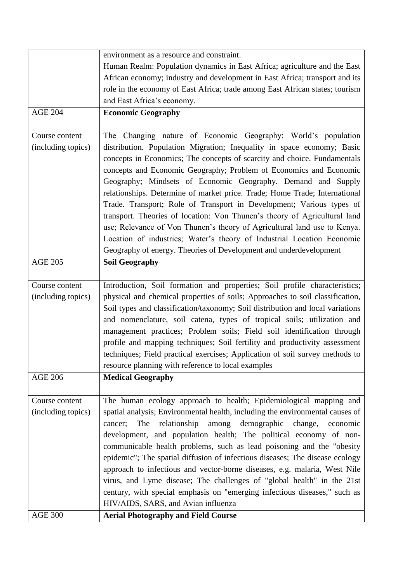|                    | environment as a resource and constraint.                                                                                                  |
|--------------------|--------------------------------------------------------------------------------------------------------------------------------------------|
|                    | Human Realm: Population dynamics in East Africa; agriculture and the East                                                                  |
|                    | African economy; industry and development in East Africa; transport and its                                                                |
|                    | role in the economy of East Africa; trade among East African states; tourism                                                               |
|                    | and East Africa's economy.                                                                                                                 |
| <b>AGE 204</b>     | <b>Economic Geography</b>                                                                                                                  |
|                    |                                                                                                                                            |
| Course content     | The Changing nature of Economic Geography; World's population                                                                              |
| (including topics) | distribution. Population Migration; Inequality in space economy; Basic                                                                     |
|                    | concepts in Economics; The concepts of scarcity and choice. Fundamentals                                                                   |
|                    | concepts and Economic Geography; Problem of Economics and Economic                                                                         |
|                    | Geography; Mindsets of Economic Geography. Demand and Supply                                                                               |
|                    | relationships. Determine of market price. Trade; Home Trade; International                                                                 |
|                    | Trade. Transport; Role of Transport in Development; Various types of                                                                       |
|                    | transport. Theories of location: Von Thunen's theory of Agricultural land                                                                  |
|                    | use; Relevance of Von Thunen's theory of Agricultural land use to Kenya.                                                                   |
|                    | Location of industries; Water's theory of Industrial Location Economic                                                                     |
|                    | Geography of energy. Theories of Development and underdevelopment                                                                          |
| <b>AGE 205</b>     | <b>Soil Geography</b>                                                                                                                      |
|                    |                                                                                                                                            |
| Course content     | Introduction, Soil formation and properties; Soil profile characteristics;                                                                 |
| (including topics) | physical and chemical properties of soils; Approaches to soil classification,                                                              |
|                    | Soil types and classification/taxonomy; Soil distribution and local variations                                                             |
|                    | and nomenclature, soil catena, types of tropical soils; utilization and                                                                    |
|                    | management practices; Problem soils; Field soil identification through                                                                     |
|                    | profile and mapping techniques; Soil fertility and productivity assessment                                                                 |
|                    | techniques; Field practical exercises; Application of soil survey methods to                                                               |
|                    | resource planning with reference to local examples                                                                                         |
| <b>AGE 206</b>     | <b>Medical Geography</b>                                                                                                                   |
|                    |                                                                                                                                            |
| Course content     | The human ecology approach to health; Epidemiological mapping and                                                                          |
| (including topics) | spatial analysis; Environmental health, including the environmental causes of                                                              |
|                    | relationship<br>among<br>demographic<br>change,<br>cancer;<br>The<br>economic                                                              |
|                    | development, and population health; The political economy of non-<br>communicable health problems, such as lead poisoning and the "obesity |
|                    | epidemic"; The spatial diffusion of infectious diseases; The disease ecology                                                               |
|                    | approach to infectious and vector-borne diseases, e.g. malaria, West Nile                                                                  |
|                    | virus, and Lyme disease; The challenges of "global health" in the 21st                                                                     |
|                    | century, with special emphasis on "emerging infectious diseases," such as                                                                  |
|                    | HIV/AIDS, SARS, and Avian influenza                                                                                                        |
| <b>AGE 300</b>     | <b>Aerial Photography and Field Course</b>                                                                                                 |
|                    |                                                                                                                                            |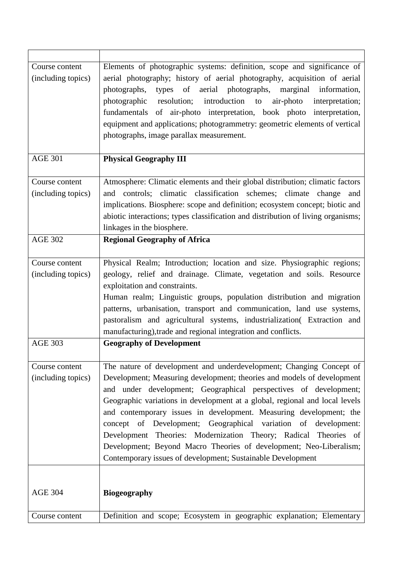| Course content<br>(including topics) | Elements of photographic systems: definition, scope and significance of<br>aerial photography; history of aerial photography, acquisition of aerial<br>types of aerial photographs,<br>photographs,<br>marginal information,<br>resolution; introduction to air-photo<br>photographic<br>interpretation;<br>fundamentals of air-photo interpretation, book photo interpretation,<br>equipment and applications; photogrammetry: geometric elements of vertical<br>photographs, image parallax measurement.                                                                                                                                       |
|--------------------------------------|--------------------------------------------------------------------------------------------------------------------------------------------------------------------------------------------------------------------------------------------------------------------------------------------------------------------------------------------------------------------------------------------------------------------------------------------------------------------------------------------------------------------------------------------------------------------------------------------------------------------------------------------------|
| <b>AGE 301</b>                       | <b>Physical Geography III</b>                                                                                                                                                                                                                                                                                                                                                                                                                                                                                                                                                                                                                    |
| Course content<br>(including topics) | Atmosphere: Climatic elements and their global distribution; climatic factors<br>and controls; climatic classification schemes; climate change<br>and<br>implications. Biosphere: scope and definition; ecosystem concept; biotic and<br>abiotic interactions; types classification and distribution of living organisms;<br>linkages in the biosphere.                                                                                                                                                                                                                                                                                          |
| <b>AGE 302</b>                       | <b>Regional Geography of Africa</b>                                                                                                                                                                                                                                                                                                                                                                                                                                                                                                                                                                                                              |
| Course content<br>(including topics) | Physical Realm; Introduction; location and size. Physiographic regions;<br>geology, relief and drainage. Climate, vegetation and soils. Resource<br>exploitation and constraints.<br>Human realm; Linguistic groups, population distribution and migration<br>patterns, urbanisation, transport and communication, land use systems,<br>pastoralism and agricultural systems, industrialization extraction and<br>manufacturing), trade and regional integration and conflicts.                                                                                                                                                                  |
| <b>AGE 303</b>                       | <b>Geography of Development</b>                                                                                                                                                                                                                                                                                                                                                                                                                                                                                                                                                                                                                  |
| Course content<br>(including topics) | The nature of development and underdevelopment; Changing Concept of<br>Development; Measuring development; theories and models of development<br>and under development; Geographical perspectives of development;<br>Geographic variations in development at a global, regional and local levels<br>and contemporary issues in development. Measuring development; the<br>concept of Development; Geographical variation of development:<br>Development Theories: Modernization Theory; Radical Theories of<br>Development; Beyond Macro Theories of development; Neo-Liberalism;<br>Contemporary issues of development; Sustainable Development |
| <b>AGE 304</b>                       | <b>Biogeography</b>                                                                                                                                                                                                                                                                                                                                                                                                                                                                                                                                                                                                                              |
| Course content                       | Definition and scope; Ecosystem in geographic explanation; Elementary                                                                                                                                                                                                                                                                                                                                                                                                                                                                                                                                                                            |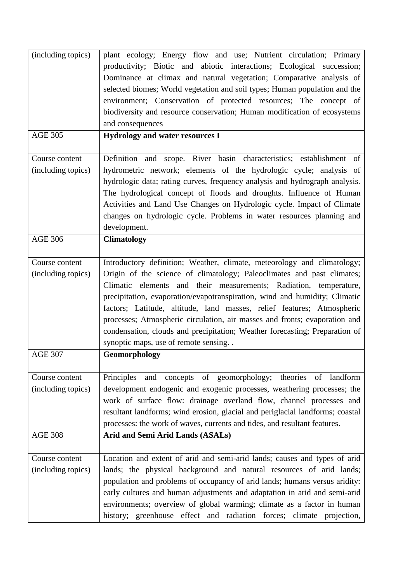| (including topics)                   | plant ecology; Energy flow and use; Nutrient circulation; Primary<br>productivity; Biotic and abiotic interactions; Ecological succession;<br>Dominance at climax and natural vegetation; Comparative analysis of<br>selected biomes; World vegetation and soil types; Human population and the<br>environment; Conservation of protected resources; The concept of<br>biodiversity and resource conservation; Human modification of ecosystems<br>and consequences                                                                                                                 |
|--------------------------------------|-------------------------------------------------------------------------------------------------------------------------------------------------------------------------------------------------------------------------------------------------------------------------------------------------------------------------------------------------------------------------------------------------------------------------------------------------------------------------------------------------------------------------------------------------------------------------------------|
| <b>AGE 305</b>                       | Hydrology and water resources I                                                                                                                                                                                                                                                                                                                                                                                                                                                                                                                                                     |
| Course content<br>(including topics) | Definition and scope. River basin characteristics; establishment of<br>hydrometric network; elements of the hydrologic cycle; analysis of<br>hydrologic data; rating curves, frequency analysis and hydrograph analysis.<br>The hydrological concept of floods and droughts. Influence of Human<br>Activities and Land Use Changes on Hydrologic cycle. Impact of Climate<br>changes on hydrologic cycle. Problems in water resources planning and<br>development.                                                                                                                  |
| <b>AGE 306</b>                       | <b>Climatology</b>                                                                                                                                                                                                                                                                                                                                                                                                                                                                                                                                                                  |
| Course content<br>(including topics) | Introductory definition; Weather, climate, meteorology and climatology;<br>Origin of the science of climatology; Paleoclimates and past climates;<br>Climatic elements and their measurements; Radiation, temperature,<br>precipitation, evaporation/evapotranspiration, wind and humidity; Climatic<br>factors; Latitude, altitude, land masses, relief features; Atmospheric<br>processes; Atmospheric circulation, air masses and fronts; evaporation and<br>condensation, clouds and precipitation; Weather forecasting; Preparation of<br>synoptic maps, use of remote sensing |
| <b>AGE 307</b>                       | Geomorphology                                                                                                                                                                                                                                                                                                                                                                                                                                                                                                                                                                       |
| Course content<br>(including topics) | concepts of geomorphology; theories of landform<br>Principles<br>and<br>development endogenic and exogenic processes, weathering processes; the<br>work of surface flow: drainage overland flow, channel processes and<br>resultant landforms; wind erosion, glacial and periglacial landforms; coastal<br>processes: the work of waves, currents and tides, and resultant features.                                                                                                                                                                                                |
| <b>AGE 308</b>                       | Arid and Semi Arid Lands (ASALs)                                                                                                                                                                                                                                                                                                                                                                                                                                                                                                                                                    |
| Course content<br>(including topics) | Location and extent of arid and semi-arid lands; causes and types of arid<br>lands; the physical background and natural resources of arid lands;<br>population and problems of occupancy of arid lands; humans versus aridity:<br>early cultures and human adjustments and adaptation in arid and semi-arid<br>environments; overview of global warming; climate as a factor in human<br>history; greenhouse effect and radiation forces; climate projection,                                                                                                                       |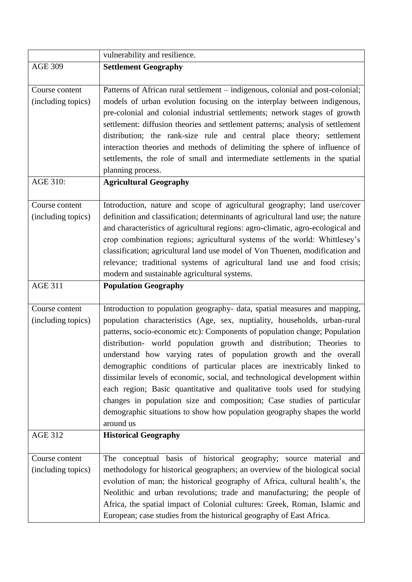|                                      | vulnerability and resilience.                                                                                                                                                                                                                                                                                                                                                                                                                                                                                                                                                                                                                                                                                                                                                           |
|--------------------------------------|-----------------------------------------------------------------------------------------------------------------------------------------------------------------------------------------------------------------------------------------------------------------------------------------------------------------------------------------------------------------------------------------------------------------------------------------------------------------------------------------------------------------------------------------------------------------------------------------------------------------------------------------------------------------------------------------------------------------------------------------------------------------------------------------|
| <b>AGE 309</b>                       | <b>Settlement Geography</b>                                                                                                                                                                                                                                                                                                                                                                                                                                                                                                                                                                                                                                                                                                                                                             |
| Course content<br>(including topics) | Patterns of African rural settlement – indigenous, colonial and post-colonial;<br>models of urban evolution focusing on the interplay between indigenous,<br>pre-colonial and colonial industrial settlements; network stages of growth<br>settlement: diffusion theories and settlement patterns; analysis of settlement<br>distribution; the rank-size rule and central place theory; settlement<br>interaction theories and methods of delimiting the sphere of influence of<br>settlements, the role of small and intermediate settlements in the spatial<br>planning process.                                                                                                                                                                                                      |
| AGE 310:                             | <b>Agricultural Geography</b>                                                                                                                                                                                                                                                                                                                                                                                                                                                                                                                                                                                                                                                                                                                                                           |
| Course content<br>(including topics) | Introduction, nature and scope of agricultural geography; land use/cover<br>definition and classification; determinants of agricultural land use; the nature<br>and characteristics of agricultural regions: agro-climatic, agro-ecological and<br>crop combination regions; agricultural systems of the world: Whittlesey's<br>classification; agricultural land use model of Von Thuenen, modification and<br>relevance; traditional systems of agricultural land use and food crisis;<br>modern and sustainable agricultural systems.                                                                                                                                                                                                                                                |
| <b>AGE 311</b>                       | <b>Population Geography</b>                                                                                                                                                                                                                                                                                                                                                                                                                                                                                                                                                                                                                                                                                                                                                             |
| Course content<br>(including topics) | Introduction to population geography- data, spatial measures and mapping,<br>population characteristics (Age, sex, nuptiality, households, urban-rural<br>patterns, socio-economic etc): Components of population change; Population<br>distribution- world population growth and distribution; Theories to<br>understand how varying rates of population growth and the overall<br>demographic conditions of particular places are inextricably linked to<br>dissimilar levels of economic, social, and technological development within<br>each region; Basic quantitative and qualitative tools used for studying<br>changes in population size and composition; Case studies of particular<br>demographic situations to show how population geography shapes the world<br>around us |
| <b>AGE 312</b>                       | <b>Historical Geography</b>                                                                                                                                                                                                                                                                                                                                                                                                                                                                                                                                                                                                                                                                                                                                                             |
| Course content<br>(including topics) | The conceptual basis of historical geography; source material and<br>methodology for historical geographers; an overview of the biological social<br>evolution of man; the historical geography of Africa, cultural health's, the<br>Neolithic and urban revolutions; trade and manufacturing; the people of<br>Africa, the spatial impact of Colonial cultures: Greek, Roman, Islamic and<br>European; case studies from the historical geography of East Africa.                                                                                                                                                                                                                                                                                                                      |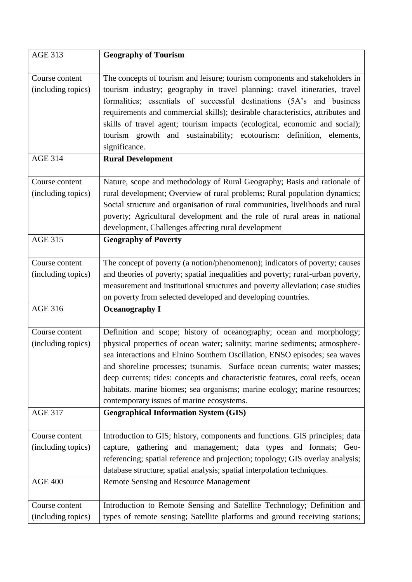| <b>AGE 313</b>                       | <b>Geography of Tourism</b>                                                                                                                                                                                                                                                                                                                                                                                                                                                                 |
|--------------------------------------|---------------------------------------------------------------------------------------------------------------------------------------------------------------------------------------------------------------------------------------------------------------------------------------------------------------------------------------------------------------------------------------------------------------------------------------------------------------------------------------------|
|                                      |                                                                                                                                                                                                                                                                                                                                                                                                                                                                                             |
| Course content<br>(including topics) | The concepts of tourism and leisure; tourism components and stakeholders in<br>tourism industry; geography in travel planning: travel itineraries, travel<br>formalities; essentials of successful destinations (5A's and business<br>requirements and commercial skills); desirable characteristics, attributes and<br>skills of travel agent; tourism impacts (ecological, economic and social);<br>tourism growth and sustainability; ecotourism: definition, elements,<br>significance. |
| <b>AGE 314</b>                       | <b>Rural Development</b>                                                                                                                                                                                                                                                                                                                                                                                                                                                                    |
| Course content                       | Nature, scope and methodology of Rural Geography; Basis and rationale of                                                                                                                                                                                                                                                                                                                                                                                                                    |
| (including topics)                   | rural development; Overview of rural problems; Rural population dynamics;                                                                                                                                                                                                                                                                                                                                                                                                                   |
|                                      | Social structure and organisation of rural communities, livelihoods and rural                                                                                                                                                                                                                                                                                                                                                                                                               |
|                                      | poverty; Agricultural development and the role of rural areas in national                                                                                                                                                                                                                                                                                                                                                                                                                   |
|                                      | development, Challenges affecting rural development                                                                                                                                                                                                                                                                                                                                                                                                                                         |
| <b>AGE 315</b>                       | <b>Geography of Poverty</b>                                                                                                                                                                                                                                                                                                                                                                                                                                                                 |
| Course content                       | The concept of poverty (a notion/phenomenon); indicators of poverty; causes                                                                                                                                                                                                                                                                                                                                                                                                                 |
| (including topics)                   | and theories of poverty; spatial inequalities and poverty; rural-urban poverty,                                                                                                                                                                                                                                                                                                                                                                                                             |
|                                      | measurement and institutional structures and poverty alleviation; case studies                                                                                                                                                                                                                                                                                                                                                                                                              |
|                                      | on poverty from selected developed and developing countries.                                                                                                                                                                                                                                                                                                                                                                                                                                |
| <b>AGE 316</b>                       | <b>Oceanography I</b>                                                                                                                                                                                                                                                                                                                                                                                                                                                                       |
| Course content                       | Definition and scope; history of oceanography; ocean and morphology;                                                                                                                                                                                                                                                                                                                                                                                                                        |
| (including topics)                   | physical properties of ocean water; salinity; marine sediments; atmosphere-                                                                                                                                                                                                                                                                                                                                                                                                                 |
|                                      | sea interactions and Elnino Southern Oscillation, ENSO episodes; sea waves                                                                                                                                                                                                                                                                                                                                                                                                                  |
|                                      | and shoreline processes; tsunamis. Surface ocean currents; water masses;                                                                                                                                                                                                                                                                                                                                                                                                                    |
|                                      | deep currents; tides: concepts and characteristic features, coral reefs, ocean                                                                                                                                                                                                                                                                                                                                                                                                              |
|                                      | habitats. marine biomes; sea organisms; marine ecology; marine resources;                                                                                                                                                                                                                                                                                                                                                                                                                   |
|                                      | contemporary issues of marine ecosystems.                                                                                                                                                                                                                                                                                                                                                                                                                                                   |
| <b>AGE 317</b>                       | <b>Geographical Information System (GIS)</b>                                                                                                                                                                                                                                                                                                                                                                                                                                                |
| Course content                       | Introduction to GIS; history, components and functions. GIS principles; data                                                                                                                                                                                                                                                                                                                                                                                                                |
| (including topics)                   | capture, gathering and management; data types and formats; Geo-                                                                                                                                                                                                                                                                                                                                                                                                                             |
|                                      | referencing; spatial reference and projection; topology; GIS overlay analysis;                                                                                                                                                                                                                                                                                                                                                                                                              |
|                                      | database structure; spatial analysis; spatial interpolation techniques.                                                                                                                                                                                                                                                                                                                                                                                                                     |
| <b>AGE 400</b>                       | <b>Remote Sensing and Resource Management</b>                                                                                                                                                                                                                                                                                                                                                                                                                                               |
| Course content                       | Introduction to Remote Sensing and Satellite Technology; Definition and                                                                                                                                                                                                                                                                                                                                                                                                                     |
| (including topics)                   | types of remote sensing; Satellite platforms and ground receiving stations;                                                                                                                                                                                                                                                                                                                                                                                                                 |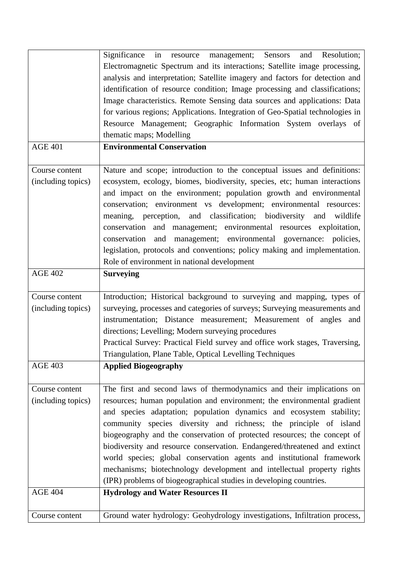|                    | Significance in resource management; Sensors<br>and Resolution;               |
|--------------------|-------------------------------------------------------------------------------|
|                    | Electromagnetic Spectrum and its interactions; Satellite image processing,    |
|                    | analysis and interpretation; Satellite imagery and factors for detection and  |
|                    | identification of resource condition; Image processing and classifications;   |
|                    | Image characteristics. Remote Sensing data sources and applications: Data     |
|                    | for various regions; Applications. Integration of Geo-Spatial technologies in |
|                    | Resource Management; Geographic Information System overlays of                |
|                    | thematic maps; Modelling                                                      |
| <b>AGE 401</b>     |                                                                               |
|                    | <b>Environmental Conservation</b>                                             |
| Course content     | Nature and scope; introduction to the conceptual issues and definitions:      |
| (including topics) | ecosystem, ecology, biomes, biodiversity, species, etc; human interactions    |
|                    | and impact on the environment; population growth and environmental            |
|                    | conservation; environment vs development; environmental resources:            |
|                    | meaning, perception, and classification; biodiversity<br>and<br>wildlife      |
|                    | conservation and management; environmental resources exploitation,            |
|                    | conservation and management; environmental governance: policies,              |
|                    | legislation, protocols and conventions; policy making and implementation.     |
|                    | Role of environment in national development                                   |
|                    |                                                                               |
| <b>AGE 402</b>     | <b>Surveying</b>                                                              |
| Course content     | Introduction; Historical background to surveying and mapping, types of        |
| (including topics) | surveying, processes and categories of surveys; Surveying measurements and    |
|                    | instrumentation; Distance measurement; Measurement of angles and              |
|                    | directions; Levelling; Modern surveying procedures                            |
|                    | Practical Survey: Practical Field survey and office work stages, Traversing,  |
|                    | Triangulation, Plane Table, Optical Levelling Techniques                      |
| <b>AGE 403</b>     | <b>Applied Biogeography</b>                                                   |
|                    |                                                                               |
| Course content     | The first and second laws of thermodynamics and their implications on         |
| (including topics) | resources; human population and environment; the environmental gradient       |
|                    | and species adaptation; population dynamics and ecosystem stability;          |
|                    | community species diversity and richness; the principle of island             |
|                    | biogeography and the conservation of protected resources; the concept of      |
|                    | biodiversity and resource conservation. Endangered/threatened and extinct     |
|                    | world species; global conservation agents and institutional framework         |
|                    | mechanisms; biotechnology development and intellectual property rights        |
|                    | (IPR) problems of biogeographical studies in developing countries.            |
| <b>AGE 404</b>     | <b>Hydrology and Water Resources II</b>                                       |
| Course content     | Ground water hydrology: Geohydrology investigations, Infiltration process,    |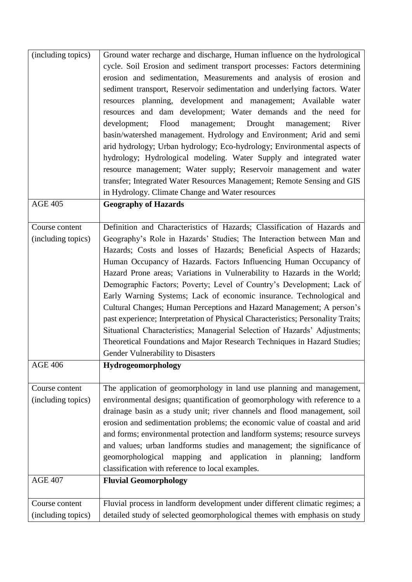| (including topics) | Ground water recharge and discharge, Human influence on the hydrological         |
|--------------------|----------------------------------------------------------------------------------|
|                    | cycle. Soil Erosion and sediment transport processes: Factors determining        |
|                    | erosion and sedimentation, Measurements and analysis of erosion and              |
|                    | sediment transport, Reservoir sedimentation and underlying factors. Water        |
|                    | resources planning, development and management; Available water                  |
|                    | resources and dam development; Water demands and the need for                    |
|                    |                                                                                  |
|                    | Flood<br>Drought<br>development;<br>management;<br>River<br>management;          |
|                    | basin/watershed management. Hydrology and Environment; Arid and semi             |
|                    | arid hydrology; Urban hydrology; Eco-hydrology; Environmental aspects of         |
|                    | hydrology; Hydrological modeling. Water Supply and integrated water              |
|                    | resource management; Water supply; Reservoir management and water                |
|                    | transfer; Integrated Water Resources Management; Remote Sensing and GIS          |
|                    | in Hydrology. Climate Change and Water resources                                 |
| <b>AGE 405</b>     | <b>Geography of Hazards</b>                                                      |
|                    |                                                                                  |
| Course content     | Definition and Characteristics of Hazards; Classification of Hazards and         |
| (including topics) | Geography's Role in Hazards' Studies; The Interaction between Man and            |
|                    | Hazards; Costs and losses of Hazards; Beneficial Aspects of Hazards;             |
|                    |                                                                                  |
|                    | Human Occupancy of Hazards. Factors Influencing Human Occupancy of               |
|                    | Hazard Prone areas; Variations in Vulnerability to Hazards in the World;         |
|                    | Demographic Factors; Poverty; Level of Country's Development; Lack of            |
|                    | Early Warning Systems; Lack of economic insurance. Technological and             |
|                    | Cultural Changes; Human Perceptions and Hazard Management; A person's            |
|                    | past experience; Interpretation of Physical Characteristics; Personality Traits; |
|                    | Situational Characteristics; Managerial Selection of Hazards' Adjustments;       |
|                    | Theoretical Foundations and Major Research Techniques in Hazard Studies;         |
|                    | Gender Vulnerability to Disasters                                                |
| <b>AGE 406</b>     | Hydrogeomorphology                                                               |
|                    |                                                                                  |
| Course content     | The application of geomorphology in land use planning and management,            |
| (including topics) | environmental designs; quantification of geomorphology with reference to a       |
|                    | drainage basin as a study unit; river channels and flood management, soil        |
|                    | erosion and sedimentation problems; the economic value of coastal and arid       |
|                    |                                                                                  |
|                    | and forms; environmental protection and landform systems; resource surveys       |
|                    | and values; urban landforms studies and management; the significance of          |
|                    | and application in planning;<br>mapping<br>geomorphological<br>landform          |
|                    | classification with reference to local examples.                                 |
| <b>AGE 407</b>     | <b>Fluvial Geomorphology</b>                                                     |
|                    |                                                                                  |
| Course content     | Fluvial process in landform development under different climatic regimes; a      |
| (including topics) | detailed study of selected geomorphological themes with emphasis on study        |
|                    |                                                                                  |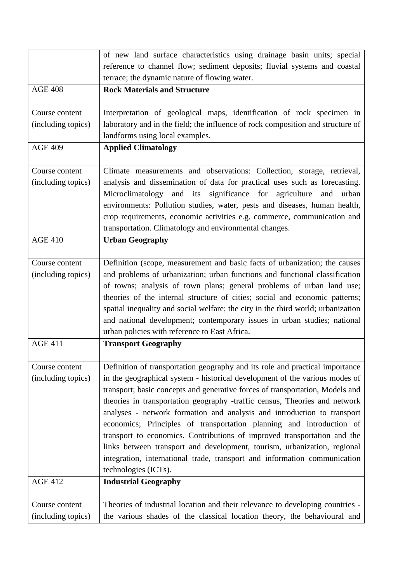|                    | of new land surface characteristics using drainage basin units; special          |
|--------------------|----------------------------------------------------------------------------------|
|                    | reference to channel flow; sediment deposits; fluvial systems and coastal        |
|                    | terrace; the dynamic nature of flowing water.                                    |
| <b>AGE 408</b>     | <b>Rock Materials and Structure</b>                                              |
| Course content     | Interpretation of geological maps, identification of rock specimen in            |
| (including topics) | laboratory and in the field; the influence of rock composition and structure of  |
|                    | landforms using local examples.                                                  |
| <b>AGE 409</b>     | <b>Applied Climatology</b>                                                       |
| Course content     | Climate measurements and observations: Collection, storage, retrieval,           |
| (including topics) | analysis and dissemination of data for practical uses such as forecasting.       |
|                    | Microclimatology and its<br>significance for agriculture and<br>urban            |
|                    | environments: Pollution studies, water, pests and diseases, human health,        |
|                    | crop requirements, economic activities e.g. commerce, communication and          |
|                    | transportation. Climatology and environmental changes.                           |
| <b>AGE 410</b>     | <b>Urban Geography</b>                                                           |
| Course content     | Definition (scope, measurement and basic facts of urbanization; the causes       |
| (including topics) | and problems of urbanization; urban functions and functional classification      |
|                    | of towns; analysis of town plans; general problems of urban land use;            |
|                    | theories of the internal structure of cities; social and economic patterns;      |
|                    | spatial inequality and social welfare; the city in the third world; urbanization |
|                    | and national development; contemporary issues in urban studies; national         |
|                    | urban policies with reference to East Africa.                                    |
| <b>AGE 411</b>     | <b>Transport Geography</b>                                                       |
| Course content     | Definition of transportation geography and its role and practical importance     |
| (including topics) | in the geographical system - historical development of the various modes of      |
|                    | transport; basic concepts and generative forces of transportation, Models and    |
|                    | theories in transportation geography -traffic census, Theories and network       |
|                    | analyses - network formation and analysis and introduction to transport          |
|                    | economics; Principles of transportation planning and introduction of             |
|                    | transport to economics. Contributions of improved transportation and the         |
|                    | links between transport and development, tourism, urbanization, regional         |
|                    | integration, international trade, transport and information communication        |
|                    | technologies (ICTs).                                                             |
| <b>AGE 412</b>     | <b>Industrial Geography</b>                                                      |
| Course content     | Theories of industrial location and their relevance to developing countries -    |
| (including topics) | the various shades of the classical location theory, the behavioural and         |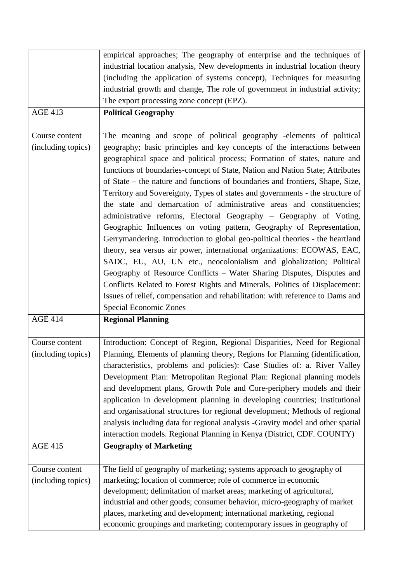|                    | empirical approaches; The geography of enterprise and the techniques of        |
|--------------------|--------------------------------------------------------------------------------|
|                    | industrial location analysis, New developments in industrial location theory   |
|                    | (including the application of systems concept), Techniques for measuring       |
|                    | industrial growth and change, The role of government in industrial activity;   |
|                    | The export processing zone concept (EPZ).                                      |
| <b>AGE 413</b>     | <b>Political Geography</b>                                                     |
|                    |                                                                                |
| Course content     | The meaning and scope of political geography -elements of political            |
| (including topics) | geography; basic principles and key concepts of the interactions between       |
|                    | geographical space and political process; Formation of states, nature and      |
|                    | functions of boundaries-concept of State, Nation and Nation State; Attributes  |
|                    | of State – the nature and functions of boundaries and frontiers, Shape, Size,  |
|                    | Territory and Sovereignty, Types of states and governments - the structure of  |
|                    | the state and demarcation of administrative areas and constituencies;          |
|                    | administrative reforms, Electoral Geography - Geography of Voting,             |
|                    | Geographic Influences on voting pattern, Geography of Representation,          |
|                    | Gerrymandering. Introduction to global geo-political theories - the heartland  |
|                    | theory, sea versus air power, international organizations: ECOWAS, EAC,        |
|                    | SADC, EU, AU, UN etc., neocolonialism and globalization; Political             |
|                    | Geography of Resource Conflicts – Water Sharing Disputes, Disputes and         |
|                    | Conflicts Related to Forest Rights and Minerals, Politics of Displacement:     |
|                    | Issues of relief, compensation and rehabilitation: with reference to Dams and  |
|                    | Special Economic Zones                                                         |
| <b>AGE 414</b>     | <b>Regional Planning</b>                                                       |
|                    |                                                                                |
| Course content     | Introduction: Concept of Region, Regional Disparities, Need for Regional       |
| (including topics) | Planning, Elements of planning theory, Regions for Planning (identification,   |
|                    | characteristics, problems and policies): Case Studies of: a. River Valley      |
|                    | Development Plan: Metropolitan Regional Plan: Regional planning models         |
|                    | and development plans, Growth Pole and Core-periphery models and their         |
|                    | application in development planning in developing countries; Institutional     |
|                    | and organisational structures for regional development; Methods of regional    |
|                    | analysis including data for regional analysis -Gravity model and other spatial |
|                    | interaction models. Regional Planning in Kenya (District, CDF. COUNTY)         |
| <b>AGE 415</b>     | <b>Geography of Marketing</b>                                                  |
|                    |                                                                                |
| Course content     | The field of geography of marketing; systems approach to geography of          |
| (including topics) | marketing; location of commerce; role of commerce in economic                  |
|                    | development; delimitation of market areas; marketing of agricultural,          |
|                    |                                                                                |
|                    | industrial and other goods; consumer behavior, micro-geography of market       |
|                    | places, marketing and development; international marketing, regional           |